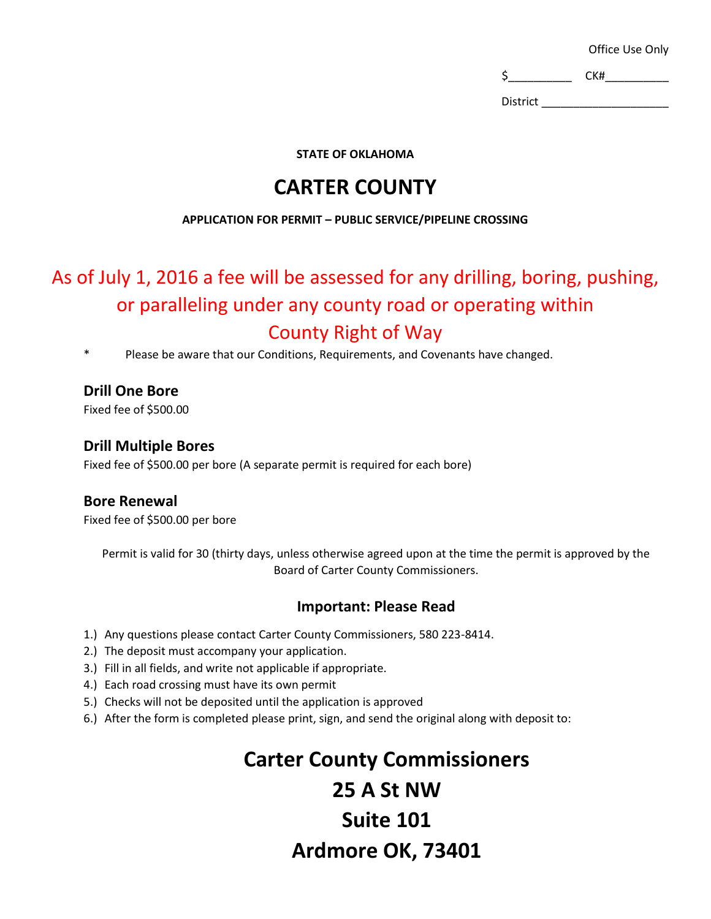Office Use Only

 $\zeta$  CK#\_\_\_\_\_\_\_\_\_\_

District \_\_\_\_\_\_\_\_\_\_\_\_\_\_\_\_\_\_\_\_

**STATE OF OKLAHOMA**

### **CARTER COUNTY**

#### **APPLICATION FOR PERMIT – PUBLIC SERVICE/PIPELINE CROSSING**

## As of July 1, 2016 a fee will be assessed for any drilling, boring, pushing, or paralleling under any county road or operating within County Right of Way

Please be aware that our Conditions, Requirements, and Covenants have changed.

#### **Drill One Bore**

Fixed fee of \$500.00

#### **Drill Multiple Bores**

Fixed fee of \$500.00 per bore (A separate permit is required for each bore)

#### **Bore Renewal**

Fixed fee of \$500.00 per bore

Permit is valid for 30 (thirty days, unless otherwise agreed upon at the time the permit is approved by the Board of Carter County Commissioners.

#### **Important: Please Read**

- 1.) Any questions please contact Carter County Commissioners, 580 223-8414.
- 2.) The deposit must accompany your application.
- 3.) Fill in all fields, and write not applicable if appropriate.
- 4.) Each road crossing must have its own permit
- 5.) Checks will not be deposited until the application is approved
- 6.) After the form is completed please print, sign, and send the original along with deposit to:

# **Carter County Commissioners 25 A St NW Suite 101 Ardmore OK, 73401**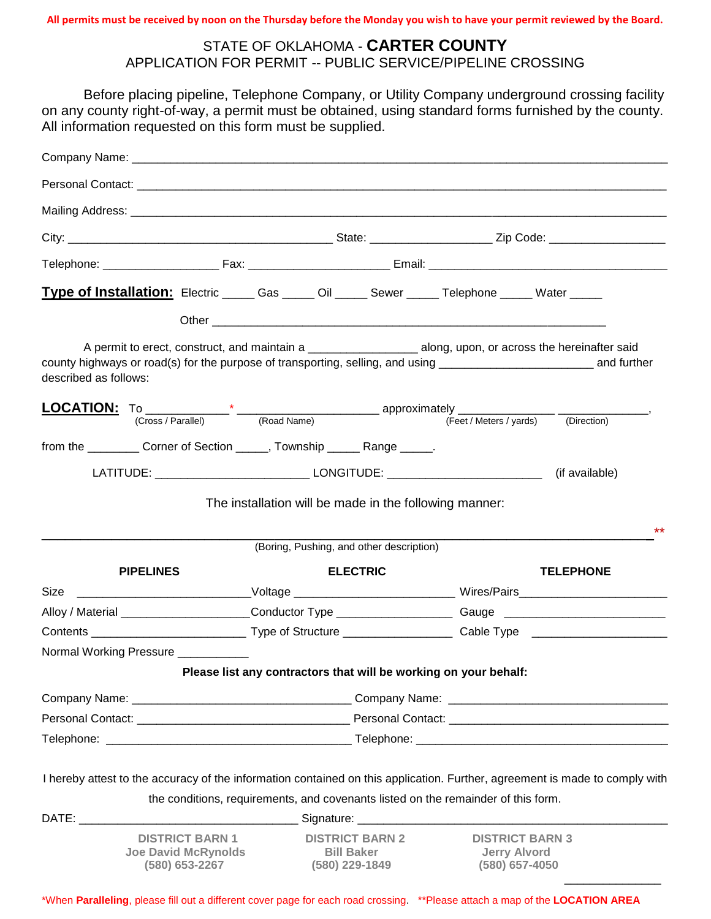**All permits must be received by noon on the Thursday before the Monday you wish to have your permit reviewed by the Board.** 

#### STATE OF OKLAHOMA - **CARTER COUNTY** APPLICATION FOR PERMIT -- PUBLIC SERVICE/PIPELINE CROSSING

Before placing pipeline, Telephone Company, or Utility Company underground crossing facility on any county right-of-way, a permit must be obtained, using standard forms furnished by the county. All information requested on this form must be supplied.

|                       | Type of Installation: Electric ______ Gas ______ Oil ______ Sewer ______ Telephone ______ Water ______              |  |                   |                                          |                                                                                                                |                                                                                                                      |                                                                                                                             |  |
|-----------------------|---------------------------------------------------------------------------------------------------------------------|--|-------------------|------------------------------------------|----------------------------------------------------------------------------------------------------------------|----------------------------------------------------------------------------------------------------------------------|-----------------------------------------------------------------------------------------------------------------------------|--|
|                       |                                                                                                                     |  |                   |                                          |                                                                                                                |                                                                                                                      |                                                                                                                             |  |
| described as follows: | A permit to erect, construct, and maintain a __________________________ along, upon, or across the hereinafter said |  |                   |                                          |                                                                                                                |                                                                                                                      |                                                                                                                             |  |
|                       |                                                                                                                     |  |                   |                                          |                                                                                                                |                                                                                                                      |                                                                                                                             |  |
|                       | from the ____________ Corner of Section ______, Township _______ Range ______.                                      |  |                   |                                          |                                                                                                                |                                                                                                                      |                                                                                                                             |  |
|                       |                                                                                                                     |  |                   |                                          |                                                                                                                |                                                                                                                      |                                                                                                                             |  |
|                       |                                                                                                                     |  |                   | (Boring, Pushing, and other description) |                                                                                                                |                                                                                                                      | $***$                                                                                                                       |  |
| <b>PIPELINES</b>      |                                                                                                                     |  | <b>ELECTRIC</b>   |                                          |                                                                                                                | <b>TELEPHONE</b>                                                                                                     |                                                                                                                             |  |
|                       |                                                                                                                     |  |                   |                                          |                                                                                                                | Size __________________________________Voltage _________________________________ Wires/Pairs________________________ |                                                                                                                             |  |
|                       |                                                                                                                     |  |                   |                                          | Alloy / Material ______________________Conductor Type ____________________Gauge ______________________________ |                                                                                                                      |                                                                                                                             |  |
|                       |                                                                                                                     |  |                   |                                          |                                                                                                                |                                                                                                                      |                                                                                                                             |  |
|                       | Normal Working Pressure ____________                                                                                |  |                   |                                          |                                                                                                                |                                                                                                                      |                                                                                                                             |  |
|                       |                                                                                                                     |  |                   |                                          |                                                                                                                | Please list any contractors that will be working on your behalf:                                                     |                                                                                                                             |  |
|                       |                                                                                                                     |  |                   |                                          |                                                                                                                |                                                                                                                      |                                                                                                                             |  |
|                       |                                                                                                                     |  |                   |                                          |                                                                                                                |                                                                                                                      |                                                                                                                             |  |
|                       |                                                                                                                     |  |                   |                                          |                                                                                                                |                                                                                                                      |                                                                                                                             |  |
|                       |                                                                                                                     |  |                   |                                          |                                                                                                                |                                                                                                                      | I hereby attest to the accuracy of the information contained on this application. Further, agreement is made to comply with |  |
|                       | the conditions, requirements, and covenants listed on the remainder of this form.                                   |  |                   |                                          |                                                                                                                |                                                                                                                      |                                                                                                                             |  |
|                       |                                                                                                                     |  |                   |                                          |                                                                                                                |                                                                                                                      |                                                                                                                             |  |
|                       | <b>DISTRICT BARN 1</b><br><b>Joe David McRynolds</b><br>(580) 653-2267                                              |  | <b>Bill Baker</b> | <b>DISTRICT BARN 2</b><br>(580) 229-1849 |                                                                                                                | <b>DISTRICT BARN 3</b><br><b>Jerry Alvord</b><br>(580) 657-4050                                                      |                                                                                                                             |  |

\*When **Paralleling**, please fill out a different cover page for each road crossing. \*\*Please attach a map of the **LOCATION AREA**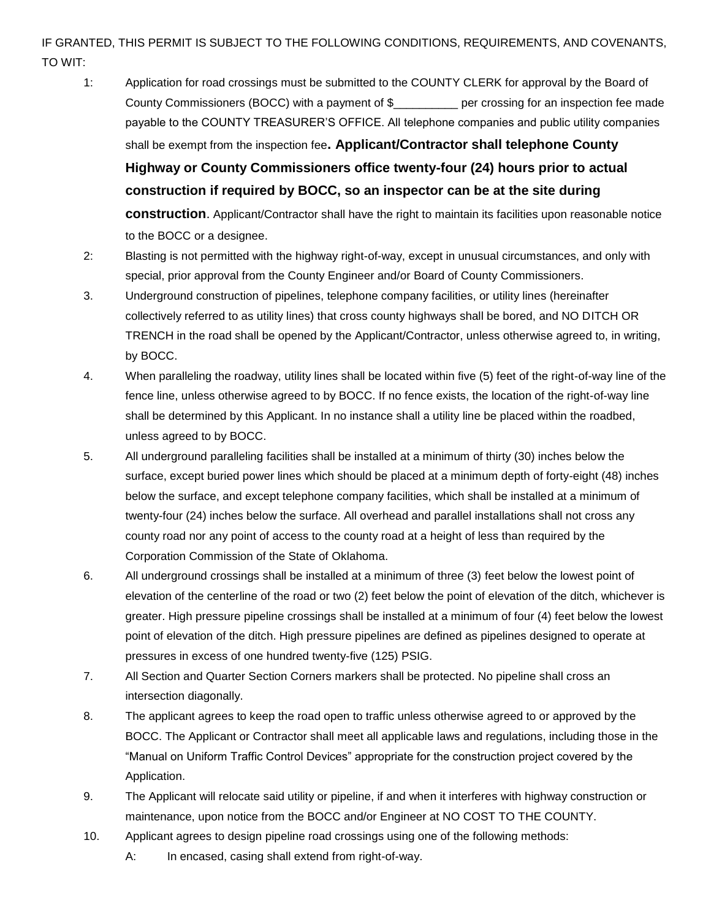#### IF GRANTED, THIS PERMIT IS SUBJECT TO THE FOLLOWING CONDITIONS, REQUIREMENTS, AND COVENANTS, TO WIT:

- 1: Application for road crossings must be submitted to the COUNTY CLERK for approval by the Board of County Commissioners (BOCC) with a payment of \$\_\_\_\_\_\_\_\_\_\_ per crossing for an inspection fee made payable to the COUNTY TREASURER'S OFFICE. All telephone companies and public utility companies shall be exempt from the inspection fee**. Applicant/Contractor shall telephone County Highway or County Commissioners office twenty-four (24) hours prior to actual construction if required by BOCC, so an inspector can be at the site during construction**. Applicant/Contractor shall have the right to maintain its facilities upon reasonable notice to the BOCC or a designee.
- 2: Blasting is not permitted with the highway right-of-way, except in unusual circumstances, and only with special, prior approval from the County Engineer and/or Board of County Commissioners.
- 3. Underground construction of pipelines, telephone company facilities, or utility lines (hereinafter collectively referred to as utility lines) that cross county highways shall be bored, and NO DITCH OR TRENCH in the road shall be opened by the Applicant/Contractor, unless otherwise agreed to, in writing, by BOCC.
- 4. When paralleling the roadway, utility lines shall be located within five (5) feet of the right-of-way line of the fence line, unless otherwise agreed to by BOCC. If no fence exists, the location of the right-of-way line shall be determined by this Applicant. In no instance shall a utility line be placed within the roadbed, unless agreed to by BOCC.
- 5. All underground paralleling facilities shall be installed at a minimum of thirty (30) inches below the surface, except buried power lines which should be placed at a minimum depth of forty-eight (48) inches below the surface, and except telephone company facilities, which shall be installed at a minimum of twenty-four (24) inches below the surface. All overhead and parallel installations shall not cross any county road nor any point of access to the county road at a height of less than required by the Corporation Commission of the State of Oklahoma.
- 6. All underground crossings shall be installed at a minimum of three (3) feet below the lowest point of elevation of the centerline of the road or two (2) feet below the point of elevation of the ditch, whichever is greater. High pressure pipeline crossings shall be installed at a minimum of four (4) feet below the lowest point of elevation of the ditch. High pressure pipelines are defined as pipelines designed to operate at pressures in excess of one hundred twenty-five (125) PSIG.
- 7. All Section and Quarter Section Corners markers shall be protected. No pipeline shall cross an intersection diagonally.
- 8. The applicant agrees to keep the road open to traffic unless otherwise agreed to or approved by the BOCC. The Applicant or Contractor shall meet all applicable laws and regulations, including those in the "Manual on Uniform Traffic Control Devices" appropriate for the construction project covered by the Application.
- 9. The Applicant will relocate said utility or pipeline, if and when it interferes with highway construction or maintenance, upon notice from the BOCC and/or Engineer at NO COST TO THE COUNTY.
- 10. Applicant agrees to design pipeline road crossings using one of the following methods:
	- A: In encased, casing shall extend from right-of-way.